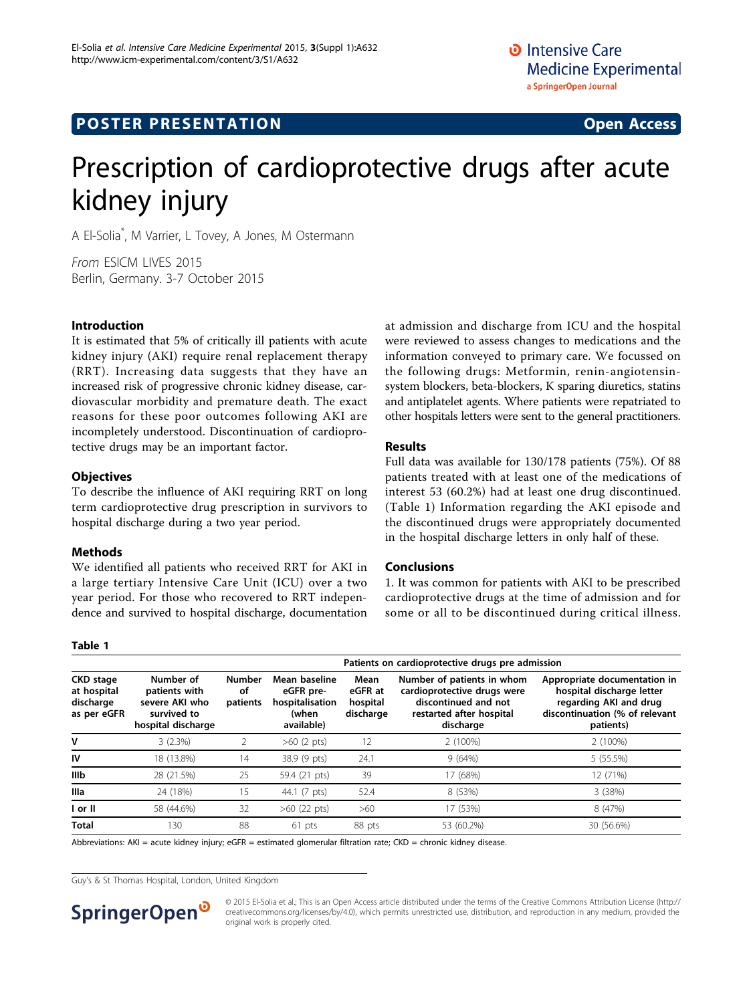## **POSTER PRESENTATION CONSUMING ACCESS**

# Prescription of cardioprotective drugs after acute kidney injury

A El-Solia\* , M Varrier, L Tovey, A Jones, M Ostermann

From ESICM LIVES 2015 Berlin, Germany. 3-7 October 2015

#### Introduction

It is estimated that 5% of critically ill patients with acute kidney injury (AKI) require renal replacement therapy (RRT). Increasing data suggests that they have an increased risk of progressive chronic kidney disease, cardiovascular morbidity and premature death. The exact reasons for these poor outcomes following AKI are incompletely understood. Discontinuation of cardioprotective drugs may be an important factor.

#### **Objectives**

To describe the influence of AKI requiring RRT on long term cardioprotective drug prescription in survivors to hospital discharge during a two year period.

#### Methods

Table 1

We identified all patients who received RRT for AKI in a large tertiary Intensive Care Unit (ICU) over a two year period. For those who recovered to RRT independence and survived to hospital discharge, documentation at admission and discharge from ICU and the hospital were reviewed to assess changes to medications and the information conveyed to primary care. We focussed on the following drugs: Metformin, renin-angiotensinsystem blockers, beta-blockers, K sparing diuretics, statins and antiplatelet agents. Where patients were repatriated to other hospitals letters were sent to the general practitioners.

#### Results

Full data was available for 130/178 patients (75%). Of 88 patients treated with at least one of the medications of interest 53 (60.2%) had at least one drug discontinued. (Table 1) Information regarding the AKI episode and the discontinued drugs were appropriately documented in the hospital discharge letters in only half of these.

#### Conclusions

1. It was common for patients with AKI to be prescribed cardioprotective drugs at the time of admission and for some or all to be discontinued during critical illness.

| <b>CKD</b> stage<br>at hospital<br>discharge<br>as per eGFR | Number of<br>patients with<br>severe AKI who<br>survived to<br>hospital discharge | Patients on cardioprotective drugs pre admission |                                                                      |                                          |                                                                                                                            |                                                                                                                                    |
|-------------------------------------------------------------|-----------------------------------------------------------------------------------|--------------------------------------------------|----------------------------------------------------------------------|------------------------------------------|----------------------------------------------------------------------------------------------------------------------------|------------------------------------------------------------------------------------------------------------------------------------|
|                                                             |                                                                                   | <b>Number</b><br>οf<br>patients                  | Mean baseline<br>eGFR pre-<br>hospitalisation<br>(when<br>available) | Mean<br>eGFR at<br>hospital<br>discharge | Number of patients in whom<br>cardioprotective drugs were<br>discontinued and not<br>restarted after hospital<br>discharge | Appropriate documentation in<br>hospital discharge letter<br>regarding AKI and drug<br>discontinuation (% of relevant<br>patients) |
| v                                                           | 3(2.3%)                                                                           |                                                  | $>60$ (2 pts)                                                        | 12                                       | 2 (100%)                                                                                                                   | 2 (100%)                                                                                                                           |
| IV                                                          | 18 (13.8%)                                                                        | 14                                               | 38.9 (9 pts)                                                         | 24.1                                     | 9(64%)                                                                                                                     | 5(55.5%)                                                                                                                           |
| Illb                                                        | 28 (21.5%)                                                                        | 25                                               | 59.4 (21 pts)                                                        | 39                                       | 17 (68%)                                                                                                                   | 12 (71%)                                                                                                                           |
| llla                                                        | 24 (18%)                                                                          | 15                                               | 44.1 (7 pts)                                                         | 52.4                                     | 8 (53%)                                                                                                                    | 3 (38%)                                                                                                                            |
| I or II                                                     | 58 (44.6%)                                                                        | 32                                               | $>60$ (22 pts)                                                       | >60                                      | 17 (53%)                                                                                                                   | 8 (47%)                                                                                                                            |
| <b>Total</b>                                                | 130                                                                               | 88                                               | 61 pts                                                               | 88 pts                                   | 53 (60.2%)                                                                                                                 | 30 (56.6%)                                                                                                                         |

Abbreviations: AKI = acute kidney injury; eGFR = estimated glomerular filtration rate; CKD = chronic kidney disease.

Guy's & St Thomas Hospital, London, United Kingdom



© 2015 El-Solia et al.; This is an Open Access article distributed under the terms of the Creative Commons Attribution License [\(http://](http://creativecommons.org/licenses/by/4.0) [creativecommons.org/licenses/by/4.0](http://creativecommons.org/licenses/by/4.0)), which permits unrestricted use, distribution, and reproduction in any medium, provided the original work is properly cited.